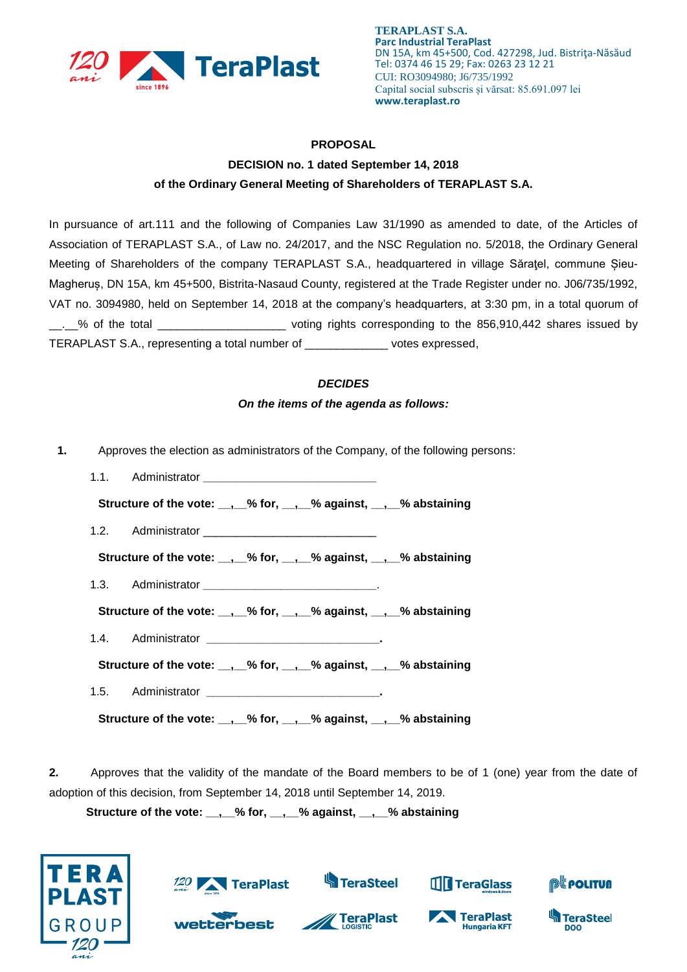

## **PROPOSAL**

## **DECISION no. 1 dated September 14, 2018 of the Ordinary General Meeting of Shareholders of TERAPLAST S.A.**

In pursuance of art.111 and the following of Companies Law 31/1990 as amended to date, of the Articles of Association of TERAPLAST S.A., of Law no. 24/2017, and the NSC Regulation no. 5/2018, the Ordinary General Meeting of Shareholders of the company TERAPLAST S.A., headquartered in village Săraţel, commune Șieu-Magheruș, DN 15A, km 45+500, Bistrita-Nasaud County, registered at the Trade Register under no. J06/735/1992, VAT no. 3094980, held on September 14, 2018 at the company's headquarters, at 3:30 pm, in a total quorum of \_\_.\_\_% of the total \_\_\_\_\_\_\_\_\_\_\_\_\_\_\_\_\_\_\_\_ voting rights corresponding to the 856,910,442 shares issued by TERAPLAST S.A., representing a total number of \_\_\_\_\_\_\_\_\_\_\_\_\_ votes expressed,

## *DECIDES*

## *On the items of the agenda as follows:*

- **1.** Approves the election as administrators of the Company, of the following persons:
	- 1.1. Administrator **\_\_\_\_\_\_\_\_\_\_\_\_\_\_\_\_\_\_\_\_\_\_\_\_\_\_\_ Structure of the vote: \_\_,\_\_% for, \_\_,\_\_% against, \_\_,\_\_% abstaining** 1.2. Administrator **Structure of the vote: \_\_,\_\_% for, \_\_,\_\_% against, \_\_,\_\_% abstaining** 1.3. Administrator **\_\_\_\_\_\_\_\_\_\_\_\_\_\_\_\_\_\_\_\_\_\_\_\_\_\_\_**. **Structure of the vote: \_\_,\_\_% for, \_\_,\_\_% against, \_\_,\_\_% abstaining** 1.4. Administrator **\_\_\_\_\_\_\_\_\_\_\_\_\_\_\_\_\_\_\_\_\_\_\_\_\_\_\_. Structure of the vote: \_\_,\_\_% for, \_\_,\_\_% against, \_\_,\_\_% abstaining** 1.5. Administrator **\_\_\_\_\_\_\_\_\_\_\_\_\_\_\_\_\_\_\_\_\_\_\_\_\_\_\_. Structure of the vote: \_\_,\_\_% for, \_\_,\_\_% against, \_\_,\_\_% abstaining**

**2.** Approves that the validity of the mandate of the Board members to be of 1 (one) year from the date of adoption of this decision, from September 14, 2018 until September 14, 2019.

**Structure of the vote: \_\_,\_\_% for, \_\_,\_\_% against, \_\_,\_\_% abstaining**